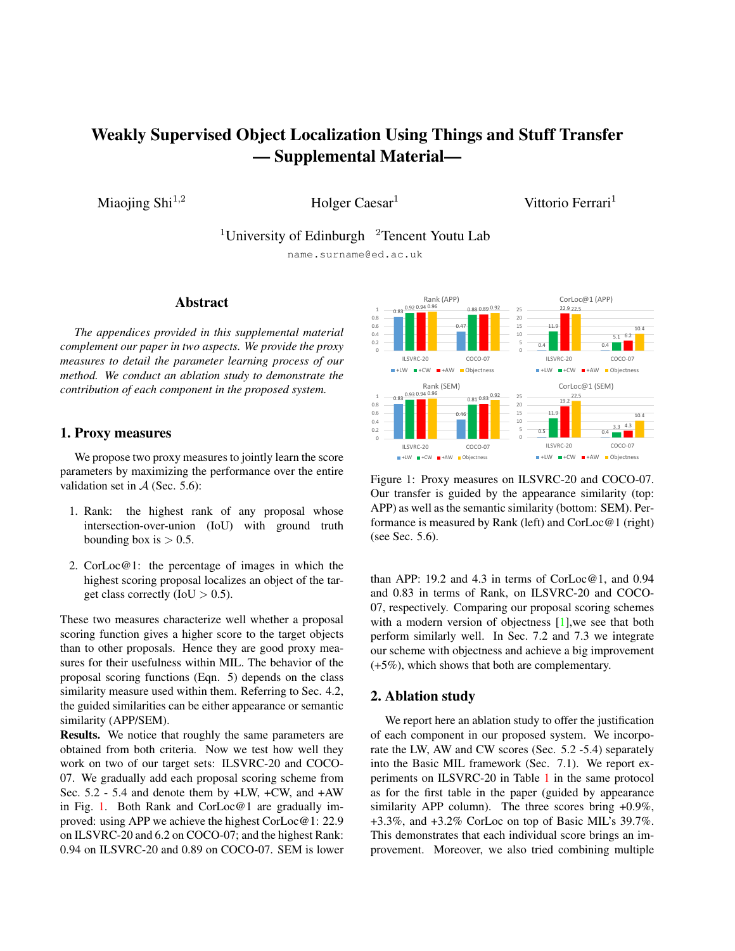# <span id="page-0-1"></span>Weakly Supervised Object Localization Using Things and Stuff Transfer — Supplemental Material—

Miaojing Shi<sup>1,2</sup> Holger Caesar<sup>1</sup>

Vittorio Ferrari<sup>1</sup>

<sup>1</sup>University of Edinburgh  $\alpha$ <sup>2</sup>Tencent Youtu Lab

name.surname@ed.ac.uk

#### Abstract

*The appendices provided in this supplemental material complement our paper in two aspects. We provide the proxy measures to detail the parameter learning process of our method. We conduct an ablation study to demonstrate the contribution of each component in the proposed system.*

#### 1. Proxy measures

We propose two proxy measures to jointly learn the score parameters by maximizing the performance over the entire validation set in  $A$  (Sec. 5.6):

- 1. Rank: the highest rank of any proposal whose intersection-over-union (IoU) with ground truth bounding box is  $> 0.5$ .
- 2. CorLoc@1: the percentage of images in which the highest scoring proposal localizes an object of the target class correctly (IoU  $> 0.5$ ).

These two measures characterize well whether a proposal scoring function gives a higher score to the target objects than to other proposals. Hence they are good proxy measures for their usefulness within MIL. The behavior of the proposal scoring functions (Eqn. 5) depends on the class similarity measure used within them. Referring to Sec. 4.2, the guided similarities can be either appearance or semantic similarity (APP/SEM).

Results. We notice that roughly the same parameters are obtained from both criteria. Now we test how well they work on two of our target sets: ILSVRC-20 and COCO-07. We gradually add each proposal scoring scheme from Sec. 5.2 - 5.4 and denote them by +LW, +CW, and +AW in Fig. [1.](#page-0-0) Both Rank and CorLoc@1 are gradually improved: using APP we achieve the highest CorLoc@1: 22.9 on ILSVRC-20 and 6.2 on COCO-07; and the highest Rank: 0.94 on ILSVRC-20 and 0.89 on COCO-07. SEM is lower

<span id="page-0-0"></span>

Figure 1: Proxy measures on ILSVRC-20 and COCO-07. Our transfer is guided by the appearance similarity (top: APP) as well as the semantic similarity (bottom: SEM). Performance is measured by Rank (left) and CorLoc@1 (right) (see Sec. 5.6).

than APP: 19.2 and 4.3 in terms of  $CorLoc@1$ , and 0.94 and 0.83 in terms of Rank, on ILSVRC-20 and COCO-07, respectively. Comparing our proposal scoring schemes with a modern version of objectness [\[1\]](#page-1-0), we see that both perform similarly well. In Sec. 7.2 and 7.3 we integrate our scheme with objectness and achieve a big improvement (+5%), which shows that both are complementary.

### 2. Ablation study

We report here an ablation study to offer the justification of each component in our proposed system. We incorporate the LW, AW and CW scores (Sec. 5.2 -5.4) separately into the Basic MIL framework (Sec. 7.1). We report experiments on ILSVRC-20 in Table [1](#page-1-1) in the same protocol as for the first table in the paper (guided by appearance similarity APP column). The three scores bring +0.9%, +3.3%, and +3.2% CorLoc on top of Basic MIL's 39.7%. This demonstrates that each individual score brings an improvement. Moreover, we also tried combining multiple